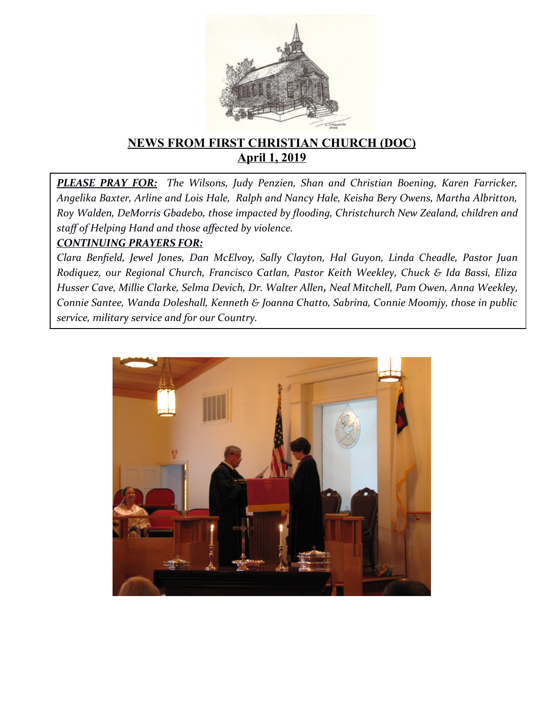

# **NEWS FROM FIRST CHRISTIAN CHURCH (DOC) April 1, 2019**

*PLEASE PRAY FOR: The Wilsons, Judy Penzien, Shan and Christian Boening, Karen Farricker, Angelika Baxter, Arline and Lois Hale, Ralph and Nancy Hale, Keisha Bery Owens, Martha Albritton, Roy Walden, DeMorris Gbadebo, those impacted by fooding, Christchurch New Zealand, children and staf of Helping Hand and those afected by violence.*

#### *CONTINUING PRAYERS FOR:*

*Clara Benfeld, Jewel Jones, Dan McElvoy, Sally Clayton, Hal Guyon, Linda Cheadle, Pastor Juan R0diquez, our Regional Church, Francisco Catlan, Pastor Keith Weekley, Chuck & Ida Bassi, Eliza Husser Cave, Millie Clarke, Selma Devich, Dr. Walter Allen, Neal Mitchell, Pam Owen, Anna Weekley, Connie Santee, Wanda Doleshall, Kenneth & Joanna Chatto, Sabrina, Connie Moomjy, those in public service, military service and for our Country.* 

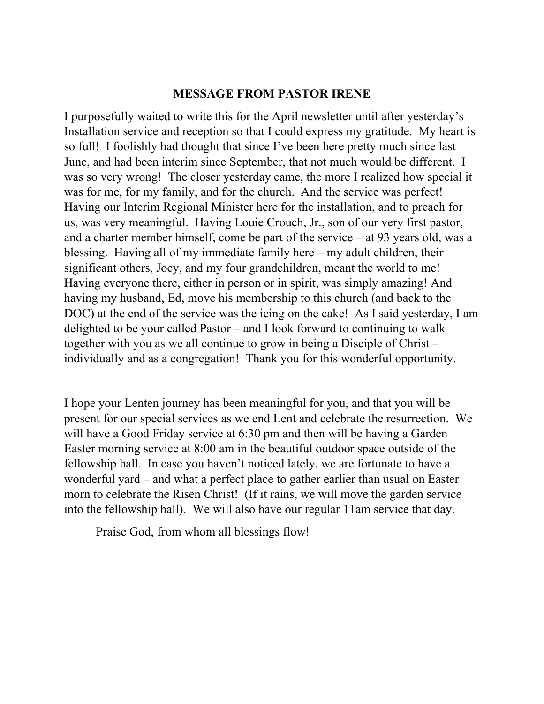#### **MESSAGE FROM PASTOR IRENE**

I purposefully waited to write this for the April newsletter until after yesterday's Installation service and reception so that I could express my gratitude. My heart is so full! I foolishly had thought that since I've been here pretty much since last June, and had been interim since September, that not much would be different. I was so very wrong! The closer yesterday came, the more I realized how special it was for me, for my family, and for the church. And the service was perfect! Having our Interim Regional Minister here for the installation, and to preach for us, was very meaningful. Having Louie Crouch, Jr., son of our very first pastor, and a charter member himself, come be part of the service – at 93 years old, was a blessing. Having all of my immediate family here – my adult children, their significant others, Joey, and my four grandchildren, meant the world to me! Having everyone there, either in person or in spirit, was simply amazing! And having my husband, Ed, move his membership to this church (and back to the DOC) at the end of the service was the icing on the cake! As I said yesterday, I am delighted to be your called Pastor – and I look forward to continuing to walk together with you as we all continue to grow in being a Disciple of Christ – individually and as a congregation! Thank you for this wonderful opportunity.

I hope your Lenten journey has been meaningful for you, and that you will be present for our special services as we end Lent and celebrate the resurrection. We will have a Good Friday service at 6:30 pm and then will be having a Garden Easter morning service at 8:00 am in the beautiful outdoor space outside of the fellowship hall. In case you haven't noticed lately, we are fortunate to have a wonderful yard – and what a perfect place to gather earlier than usual on Easter morn to celebrate the Risen Christ! (If it rains, we will move the garden service into the fellowship hall). We will also have our regular 11am service that day.

Praise God, from whom all blessings flow!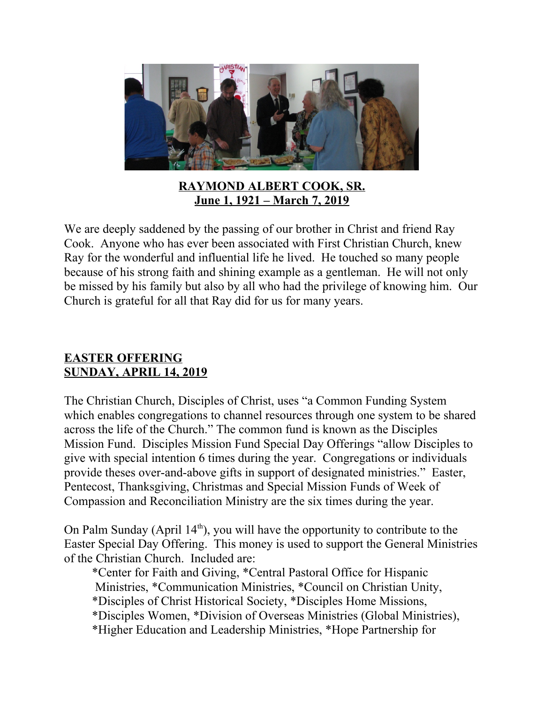

**RAYMOND ALBERT COOK, SR. June 1, 1921 – March 7, 2019**

We are deeply saddened by the passing of our brother in Christ and friend Ray Cook. Anyone who has ever been associated with First Christian Church, knew Ray for the wonderful and influential life he lived. He touched so many people because of his strong faith and shining example as a gentleman. He will not only be missed by his family but also by all who had the privilege of knowing him. Our Church is grateful for all that Ray did for us for many years.

#### **EASTER OFFERING SUNDAY, APRIL 14, 2019**

The Christian Church, Disciples of Christ, uses "a Common Funding System which enables congregations to channel resources through one system to be shared across the life of the Church." The common fund is known as the Disciples Mission Fund. Disciples Mission Fund Special Day Offerings "allow Disciples to give with special intention 6 times during the year. Congregations or individuals provide theses over-and-above gifts in support of designated ministries." Easter, Pentecost, Thanksgiving, Christmas and Special Mission Funds of Week of Compassion and Reconciliation Ministry are the six times during the year.

On Palm Sunday (April  $14<sup>th</sup>$ ), you will have the opportunity to contribute to the Easter Special Day Offering. This money is used to support the General Ministries of the Christian Church. Included are:

 \*Center for Faith and Giving, \*Central Pastoral Office for Hispanic Ministries, \*Communication Ministries, \*Council on Christian Unity, \*Disciples of Christ Historical Society, \*Disciples Home Missions, \*Disciples Women, \*Division of Overseas Ministries (Global Ministries), \*Higher Education and Leadership Ministries, \*Hope Partnership for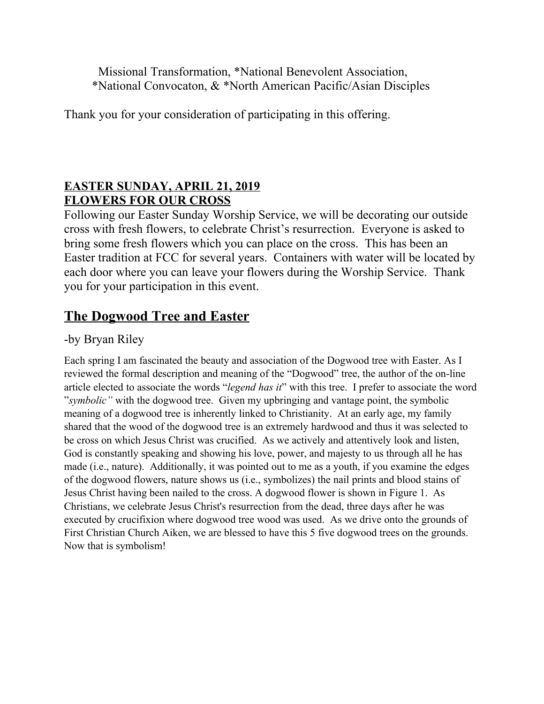Missional Transformation, \*National Benevolent Association, \*National Convocaton, & \*North American Pacific/Asian Disciples

Thank you for your consideration of participating in this offering.

# **EASTER SUNDAY, APRIL 21, 2019 FLOWERS FOR OUR CROSS**

Following our Easter Sunday Worship Service, we will be decorating our outside cross with fresh flowers, to celebrate Christ's resurrection. Everyone is asked to bring some fresh flowers which you can place on the cross. This has been an Easter tradition at FCC for several years. Containers with water will be located by each door where you can leave your flowers during the Worship Service. Thank you for your participation in this event.

# **The Dogwood Tree and Easter**

# -by Bryan Riley

Each spring I am fascinated the beauty and association of the Dogwood tree with Easter. As I reviewed the formal description and meaning of the "Dogwood" tree, the author of the on-line article elected to associate the words "*legend has it*" with this tree. I prefer to associate the word "*symbolic"* with the dogwood tree. Given my upbringing and vantage point, the symbolic meaning of a dogwood tree is inherently linked to Christianity. At an early age, my family shared that the wood of the dogwood tree is an extremely hardwood and thus it was selected to be cross on which Jesus Christ was crucified. As we actively and attentively look and listen, God is constantly speaking and showing his love, power, and majesty to us through all he has made (i.e., nature). Additionally, it was pointed out to me as a youth, if you examine the edges of the dogwood flowers, nature shows us (i.e., symbolizes) the nail prints and blood stains of Jesus Christ having been nailed to the cross. A dogwood flower is shown in Figure 1. As Christians, we celebrate Jesus Christ's resurrection from the dead, three days after he was executed by crucifixion where dogwood tree wood was used. As we drive onto the grounds of First Christian Church Aiken, we are blessed to have this 5 five dogwood trees on the grounds. Now that is symbolism!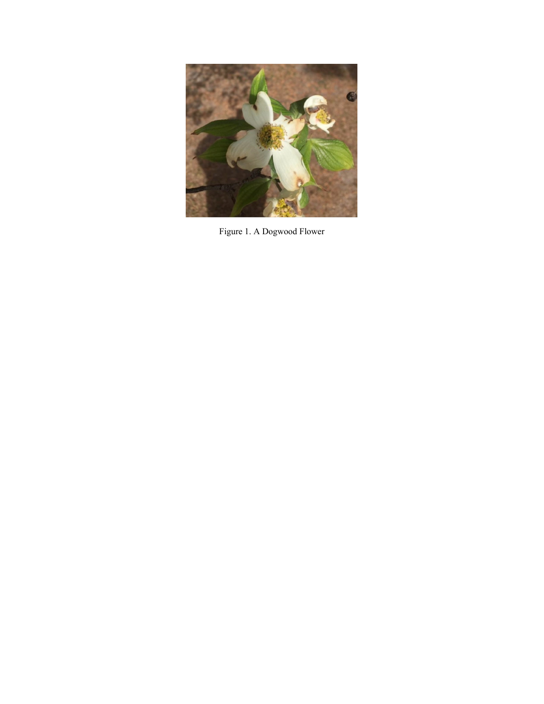

Figure 1. A Dogwood Flower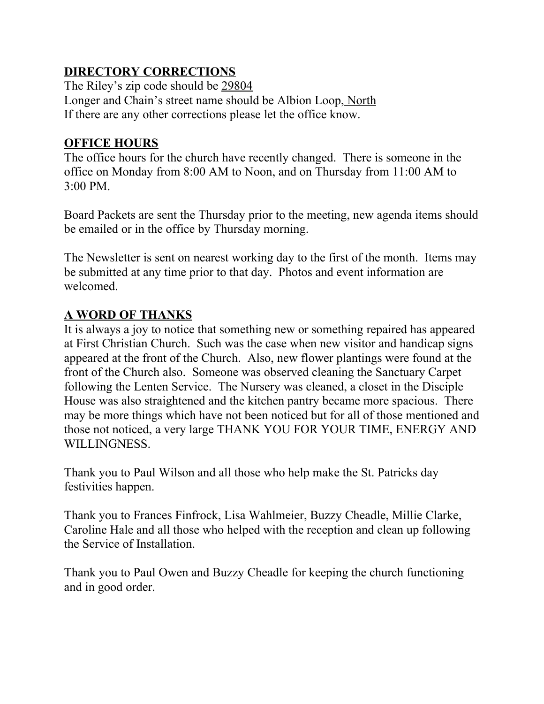# **DIRECTORY CORRECTIONS**

The Riley's zip code should be 29804 Longer and Chain's street name should be Albion Loop, North If there are any other corrections please let the office know.

### **OFFICE HOURS**

The office hours for the church have recently changed. There is someone in the office on Monday from 8:00 AM to Noon, and on Thursday from 11:00 AM to 3:00 PM.

Board Packets are sent the Thursday prior to the meeting, new agenda items should be emailed or in the office by Thursday morning.

The Newsletter is sent on nearest working day to the first of the month. Items may be submitted at any time prior to that day. Photos and event information are welcomed.

# **A WORD OF THANKS**

It is always a joy to notice that something new or something repaired has appeared at First Christian Church. Such was the case when new visitor and handicap signs appeared at the front of the Church. Also, new flower plantings were found at the front of the Church also. Someone was observed cleaning the Sanctuary Carpet following the Lenten Service. The Nursery was cleaned, a closet in the Disciple House was also straightened and the kitchen pantry became more spacious. There may be more things which have not been noticed but for all of those mentioned and those not noticed, a very large THANK YOU FOR YOUR TIME, ENERGY AND WILLINGNESS.

Thank you to Paul Wilson and all those who help make the St. Patricks day festivities happen.

Thank you to Frances Finfrock, Lisa Wahlmeier, Buzzy Cheadle, Millie Clarke, Caroline Hale and all those who helped with the reception and clean up following the Service of Installation.

Thank you to Paul Owen and Buzzy Cheadle for keeping the church functioning and in good order.